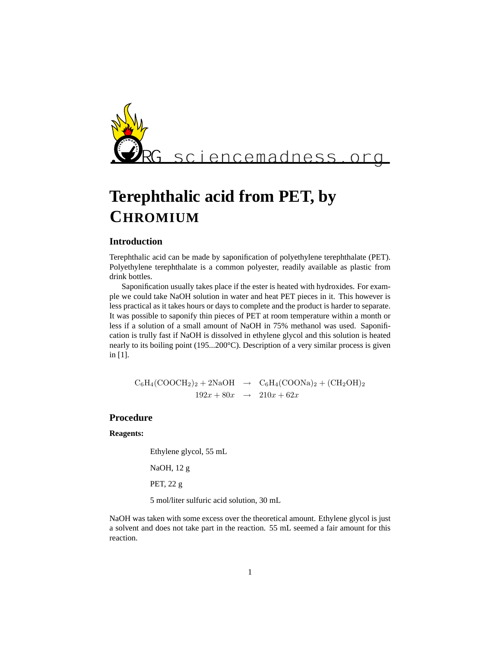

# **Terephthalic acid from PET, by CHROMIUM**

### **Introduction**

Terephthalic acid can be made by saponification of polyethylene terephthalate (PET). Polyethylene terephthalate is a common polyester, readily available as plastic from drink bottles.

Saponification usually takes place if the ester is heated with hydroxides. For example we could take NaOH solution in water and heat PET pieces in it. This however is less practical as it takes hours or days to complete and the product is harder to separate. It was possible to saponify thin pieces of PET at room temperature within a month or less if a solution of a small amount of NaOH in 75% methanol was used. Saponification is trully fast if NaOH is dissolved in ethylene glycol and this solution is heated nearly to its boiling point (195...200°C). Description of a very similar process is given in [1].

 $C_6H_4(COOCH_2)_2 + 2NaOH \rightarrow C_6H_4(COONa)_2 + (CH_2OH)_2$  $192x + 80x \rightarrow 210x + 62x$ 

## **Procedure**

#### **Reagents:**

Ethylene glycol, 55 mL

NaOH, 12 g

PET, 22 g

5 mol/liter sulfuric acid solution, 30 mL

NaOH was taken with some excess over the theoretical amount. Ethylene glycol is just a solvent and does not take part in the reaction. 55 mL seemed a fair amount for this reaction.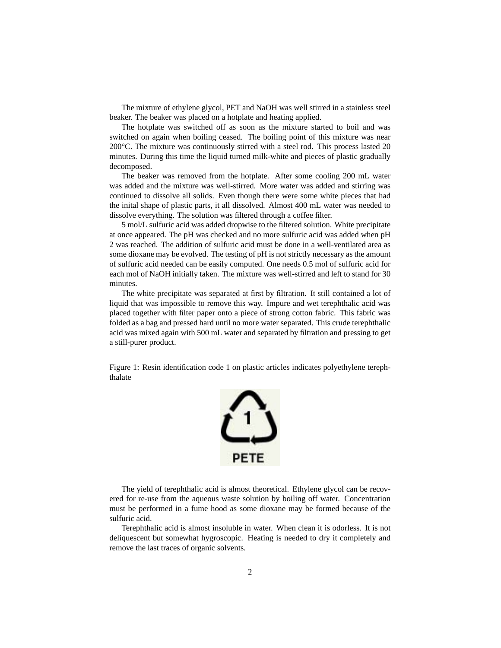The mixture of ethylene glycol, PET and NaOH was well stirred in a stainless steel beaker. The beaker was placed on a hotplate and heating applied.

The hotplate was switched off as soon as the mixture started to boil and was switched on again when boiling ceased. The boiling point of this mixture was near 200°C. The mixture was continuously stirred with a steel rod. This process lasted 20 minutes. During this time the liquid turned milk-white and pieces of plastic gradually decomposed.

The beaker was removed from the hotplate. After some cooling 200 mL water was added and the mixture was well-stirred. More water was added and stirring was continued to dissolve all solids. Even though there were some white pieces that had the inital shape of plastic parts, it all dissolved. Almost 400 mL water was needed to dissolve everything. The solution was filtered through a coffee filter.

5 mol/L sulfuric acid was added dropwise to the filtered solution. White precipitate at once appeared. The pH was checked and no more sulfuric acid was added when pH 2 was reached. The addition of sulfuric acid must be done in a well-ventilated area as some dioxane may be evolved. The testing of pH is not strictly necessary as the amount of sulfuric acid needed can be easily computed. One needs 0.5 mol of sulfuric acid for each mol of NaOH initially taken. The mixture was well-stirred and left to stand for 30 minutes.

The white precipitate was separated at first by filtration. It still contained a lot of liquid that was impossible to remove this way. Impure and wet terephthalic acid was placed together with filter paper onto a piece of strong cotton fabric. This fabric was folded as a bag and pressed hard until no more water separated. This crude terephthalic acid was mixed again with 500 mL water and separated by filtration and pressing to get a still-purer product.

Figure 1: Resin identification code 1 on plastic articles indicates polyethylene terephthalate



The yield of terephthalic acid is almost theoretical. Ethylene glycol can be recovered for re-use from the aqueous waste solution by boiling off water. Concentration must be performed in a fume hood as some dioxane may be formed because of the sulfuric acid.

Terephthalic acid is almost insoluble in water. When clean it is odorless. It is not deliquescent but somewhat hygroscopic. Heating is needed to dry it completely and remove the last traces of organic solvents.